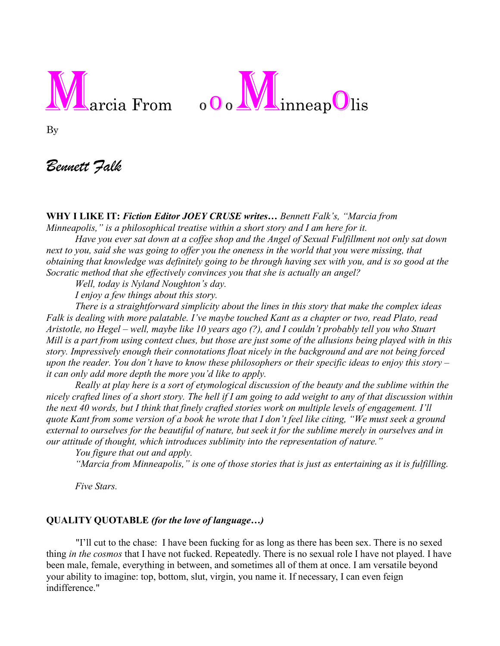



By

*Bennett Falk*

**WHY I LIKE IT:** *Fiction Editor JOEY CRUSE writes… Bennett Falk's, "Marcia from Minneapolis," is a philosophical treatise within a short story and I am here for it.*

*Have you ever sat down at a coffee shop and the Angel of Sexual Fulfillment not only sat down next to you, said she was going to offer you the oneness in the world that you were missing, that obtaining that knowledge was definitely going to be through having sex with you, and is so good at the Socratic method that she effectively convinces you that she is actually an angel?* 

*Well, today is Nyland Noughton's day.* 

*I enjoy a few things about this story.* 

*There is a straightforward simplicity about the lines in this story that make the complex ideas Falk is dealing with more palatable. I've maybe touched Kant as a chapter or two, read Plato, read Aristotle, no Hegel – well, maybe like 10 years ago (?), and I couldn't probably tell you who Stuart Mill is a part from using context clues, but those are just some of the allusions being played with in this story. Impressively enough their connotations float nicely in the background and are not being forced upon the reader. You don't have to know these philosophers or their specific ideas to enjoy this story – it can only add more depth the more you'd like to apply.* 

*Really at play here is a sort of etymological discussion of the beauty and the sublime within the nicely crafted lines of a short story. The hell if I am going to add weight to any of that discussion within the next 40 words, but I think that finely crafted stories work on multiple levels of engagement. I'll quote Kant from some version of a book he wrote that I don't feel like citing, "We must seek a ground external to ourselves for the beautiful of nature, but seek it for the sublime merely in ourselves and in our attitude of thought, which introduces sublimity into the representation of nature."*

*You figure that out and apply.* 

*"Marcia from Minneapolis," is one of those stories that is just as entertaining as it is fulfilling.*

*Five Stars.* 

## **QUALITY QUOTABLE** *(for the love of language…)*

"I'll cut to the chase: I have been fucking for as long as there has been sex. There is no sexed thing *in the cosmos* that I have not fucked. Repeatedly. There is no sexual role I have not played. I have been male, female, everything in between, and sometimes all of them at once. I am versatile beyond your ability to imagine: top, bottom, slut, virgin, you name it. If necessary, I can even feign indifference."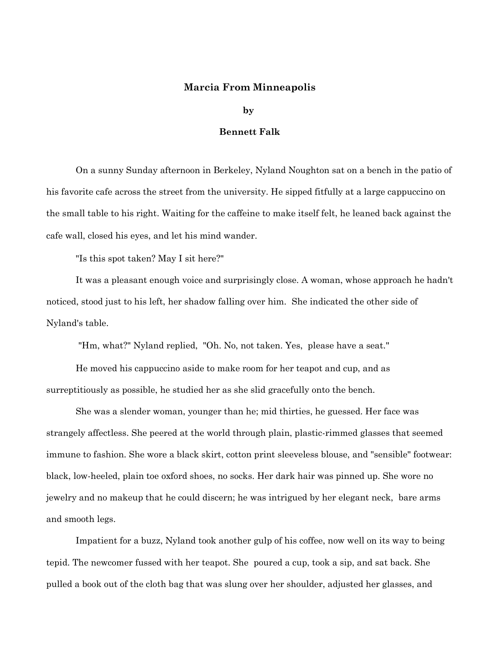## **Marcia From Minneapolis**

## **by**

## **Bennett Falk**

On a sunny Sunday afternoon in Berkeley, Nyland Noughton sat on a bench in the patio of his favorite cafe across the street from the university. He sipped fitfully at a large cappuccino on the small table to his right. Waiting for the caffeine to make itself felt, he leaned back against the cafe wall, closed his eyes, and let his mind wander.

"Is this spot taken? May I sit here?"

It was a pleasant enough voice and surprisingly close. A woman, whose approach he hadn't noticed, stood just to his left, her shadow falling over him. She indicated the other side of Nyland's table.

"Hm, what?" Nyland replied, "Oh. No, not taken. Yes, please have a seat."

He moved his cappuccino aside to make room for her teapot and cup, and as surreptitiously as possible, he studied her as she slid gracefully onto the bench.

She was a slender woman, younger than he; mid thirties, he guessed. Her face was strangely affectless. She peered at the world through plain, plastic-rimmed glasses that seemed immune to fashion. She wore a black skirt, cotton print sleeveless blouse, and "sensible" footwear: black, low-heeled, plain toe oxford shoes, no socks. Her dark hair was pinned up. She wore no jewelry and no makeup that he could discern; he was intrigued by her elegant neck, bare arms and smooth legs.

Impatient for a buzz, Nyland took another gulp of his coffee, now well on its way to being tepid. The newcomer fussed with her teapot. She poured a cup, took a sip, and sat back. She pulled a book out of the cloth bag that was slung over her shoulder, adjusted her glasses, and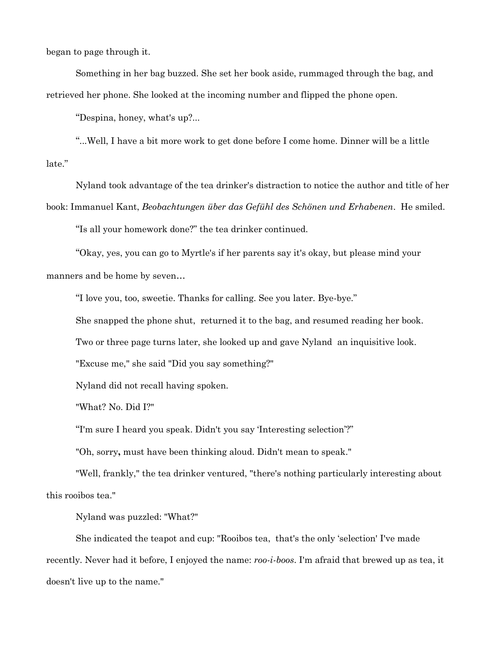began to page through it.

Something in her bag buzzed. She set her book aside, rummaged through the bag, and retrieved her phone. She looked at the incoming number and flipped the phone open.

"Despina, honey, what's up?...

"...Well, I have a bit more work to get done before I come home. Dinner will be a little late."

Nyland took advantage of the tea drinker's distraction to notice the author and title of her book: Immanuel Kant, *Beobachtungen über das Gefühl des Schönen und Erhabenen*. He smiled.

"Is all your homework done?" the tea drinker continued.

"Okay, yes, you can go to Myrtle's if her parents say it's okay, but please mind your manners and be home by seven…

"I love you, too, sweetie. Thanks for calling. See you later. Bye-bye."

She snapped the phone shut, returned it to the bag, and resumed reading her book.

Two or three page turns later, she looked up and gave Nyland an inquisitive look.

"Excuse me," she said "Did you say something?"

Nyland did not recall having spoken.

"What? No. Did I?"

"I'm sure I heard you speak. Didn't you say 'Interesting selection'?"

"Oh, sorry**,** must have been thinking aloud. Didn't mean to speak."

"Well, frankly," the tea drinker ventured, "there's nothing particularly interesting about this rooibos tea."

Nyland was puzzled: "What?"

She indicated the teapot and cup: "Rooibos tea, that's the only 'selection' I've made recently. Never had it before, I enjoyed the name: *roo-i-boos*. I'm afraid that brewed up as tea, it doesn't live up to the name."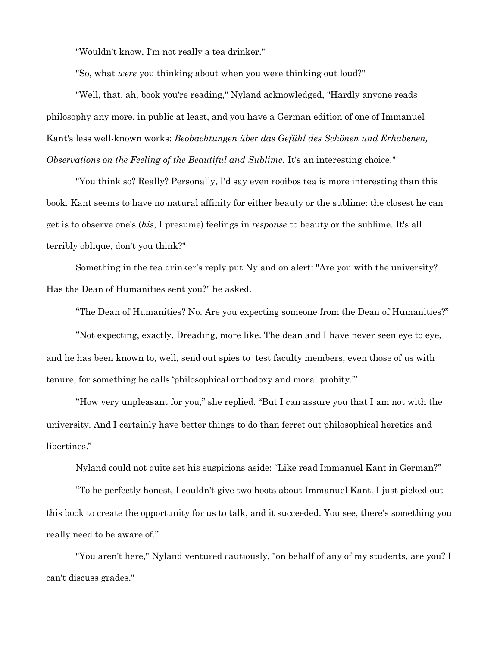"Wouldn't know, I'm not really a tea drinker."

"So, what *were* you thinking about when you were thinking out loud?"

"Well, that, ah, book you're reading," Nyland acknowledged, "Hardly anyone reads philosophy any more, in public at least, and you have a German edition of one of Immanuel Kant's less well-known works: *Beobachtungen über das Gefühl des Schönen und Erhabenen, Observations on the Feeling of the Beautiful and Sublime.* It's an interesting choice."

"You think so? Really? Personally, I'd say even rooibos tea is more interesting than this book. Kant seems to have no natural affinity for either beauty or the sublime: the closest he can get is to observe one's (*his*, I presume) feelings in *response* to beauty or the sublime. It's all terribly oblique, don't you think?"

Something in the tea drinker's reply put Nyland on alert: "Are you with the university? Has the Dean of Humanities sent you?" he asked.

"The Dean of Humanities? No. Are you expecting someone from the Dean of Humanities?"

"Not expecting, exactly. Dreading, more like. The dean and I have never seen eye to eye, and he has been known to, well, send out spies to test faculty members, even those of us with tenure, for something he calls 'philosophical orthodoxy and moral probity.'"

"How very unpleasant for you," she replied. "But I can assure you that I am not with the university. And I certainly have better things to do than ferret out philosophical heretics and libertines."

Nyland could not quite set his suspicions aside: "Like read Immanuel Kant in German?"

"To be perfectly honest, I couldn't give two hoots about Immanuel Kant. I just picked out this book to create the opportunity for us to talk, and it succeeded. You see, there's something you really need to be aware of."

"You aren't here," Nyland ventured cautiously, "on behalf of any of my students, are you? I can't discuss grades."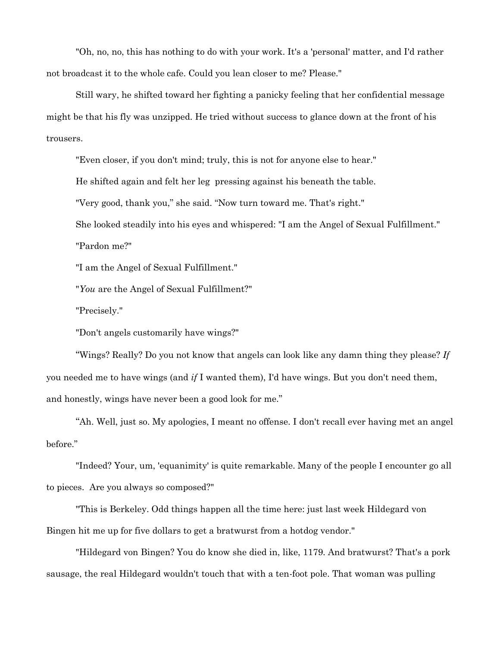"Oh, no, no, this has nothing to do with your work. It's a 'personal' matter, and I'd rather not broadcast it to the whole cafe. Could you lean closer to me? Please."

Still wary, he shifted toward her fighting a panicky feeling that her confidential message might be that his fly was unzipped. He tried without success to glance down at the front of his trousers.

"Even closer, if you don't mind; truly, this is not for anyone else to hear."

He shifted again and felt her leg pressing against his beneath the table.

"Very good, thank you," she said. "Now turn toward me. That's right."

She looked steadily into his eyes and whispered: "I am the Angel of Sexual Fulfillment."

"Pardon me?"

"I am the Angel of Sexual Fulfillment."

"*You* are the Angel of Sexual Fulfillment?"

"Precisely."

"Don't angels customarily have wings?"

"Wings? Really? Do you not know that angels can look like any damn thing they please? *If* you needed me to have wings (and *if* I wanted them), I'd have wings. But you don't need them, and honestly, wings have never been a good look for me."

"Ah. Well, just so. My apologies, I meant no offense. I don't recall ever having met an angel before."

"Indeed? Your, um, 'equanimity' is quite remarkable. Many of the people I encounter go all to pieces. Are you always so composed?"

"This is Berkeley. Odd things happen all the time here: just last week Hildegard von Bingen hit me up for five dollars to get a bratwurst from a hotdog vendor."

"Hildegard von Bingen? You do know she died in, like, 1179. And bratwurst? That's a pork sausage, the real Hildegard wouldn't touch that with a ten-foot pole. That woman was pulling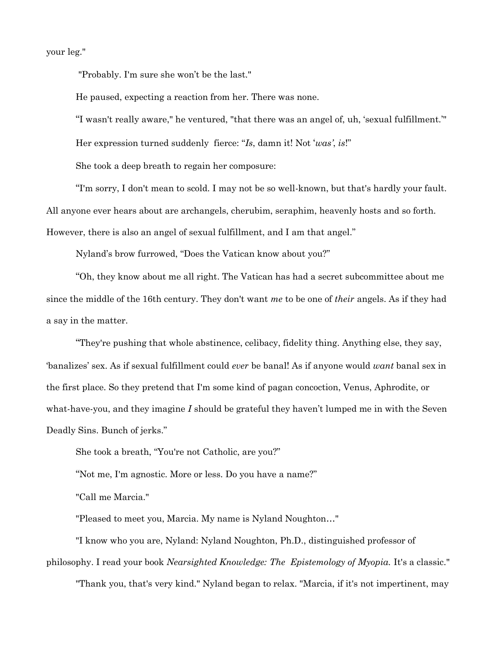your leg."

"Probably. I'm sure she won't be the last."

He paused, expecting a reaction from her. There was none.

"I wasn't really aware," he ventured, "that there was an angel of, uh, 'sexual fulfillment.'"

Her expression turned suddenly fierce: "*Is*, damn it! Not '*was'*, *is*!"

She took a deep breath to regain her composure:

"I'm sorry, I don't mean to scold. I may not be so well-known, but that's hardly your fault. All anyone ever hears about are archangels, cherubim, seraphim, heavenly hosts and so forth. However, there is also an angel of sexual fulfillment, and I am that angel."

Nyland's brow furrowed, "Does the Vatican know about you?"

"Oh, they know about me all right. The Vatican has had a secret subcommittee about me since the middle of the 16th century. They don't want *me* to be one of *their* angels. As if they had a say in the matter.

"They're pushing that whole abstinence, celibacy, fidelity thing. Anything else, they say, 'banalizes' sex. As if sexual fulfillment could *ever* be banal! As if anyone would *want* banal sex in the first place. So they pretend that I'm some kind of pagan concoction, Venus, Aphrodite, or what-have-you, and they imagine *I* should be grateful they haven't lumped me in with the Seven Deadly Sins. Bunch of jerks."

She took a breath, "You're not Catholic, are you?"

"Not me, I'm agnostic. More or less. Do you have a name?"

"Call me Marcia."

"Pleased to meet you, Marcia. My name is Nyland Noughton…"

"I know who you are, Nyland: Nyland Noughton, Ph.D., distinguished professor of philosophy. I read your book *Nearsighted Knowledge: The Epistemology of Myopia.* It's a classic."

"Thank you, that's very kind." Nyland began to relax. "Marcia, if it's not impertinent, may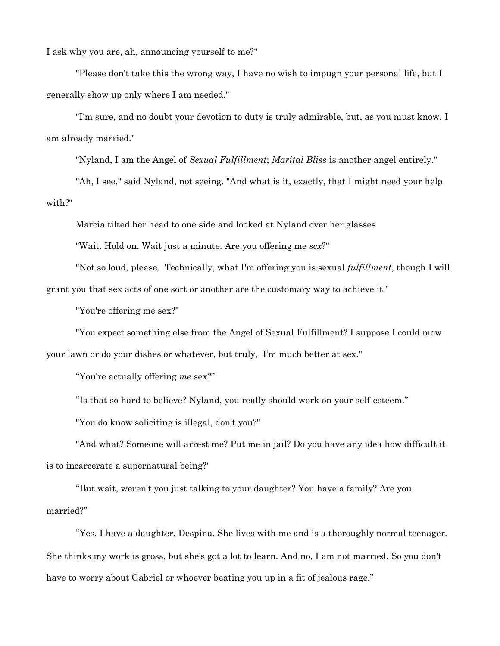I ask why you are, ah, announcing yourself to me?"

"Please don't take this the wrong way, I have no wish to impugn your personal life, but I generally show up only where I am needed."

"I'm sure, and no doubt your devotion to duty is truly admirable, but, as you must know, I am already married."

"Nyland, I am the Angel of *Sexual Fulfillment*; *Marital Bliss* is another angel entirely."

"Ah, I see," said Nyland, not seeing. "And what is it, exactly, that I might need your help with?"

Marcia tilted her head to one side and looked at Nyland over her glasses

"Wait. Hold on. Wait just a minute. Are you offering me *sex*?"

"Not so loud, please. Technically, what I'm offering you is sexual *fulfillment*, though I will grant you that sex acts of one sort or another are the customary way to achieve it."

"You're offering me sex?"

"You expect something else from the Angel of Sexual Fulfillment? I suppose I could mow your lawn or do your dishes or whatever, but truly, I'm much better at sex."

"You're actually offering *me* sex?"

"Is that so hard to believe? Nyland, you really should work on your self-esteem."

"You do know soliciting is illegal, don't you?"

"And what? Someone will arrest me? Put me in jail? Do you have any idea how difficult it is to incarcerate a supernatural being?"

"But wait, weren't you just talking to your daughter? You have a family? Are you married?"

"Yes, I have a daughter, Despina. She lives with me and is a thoroughly normal teenager. She thinks my work is gross, but she's got a lot to learn. And no, I am not married. So you don't have to worry about Gabriel or whoever beating you up in a fit of jealous rage."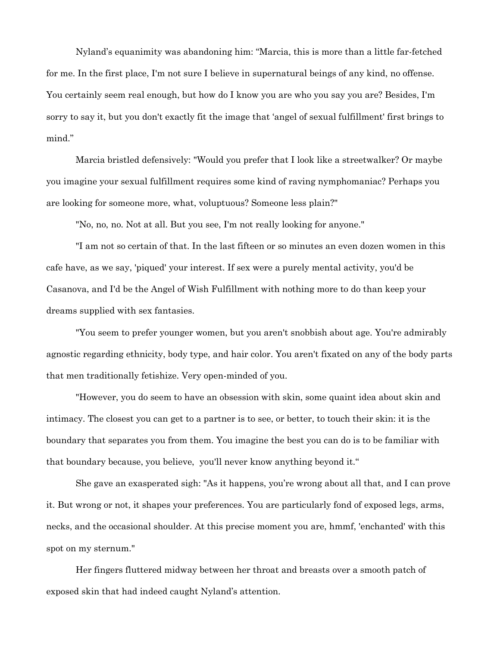Nyland's equanimity was abandoning him: "Marcia, this is more than a little far-fetched for me. In the first place, I'm not sure I believe in supernatural beings of any kind, no offense. You certainly seem real enough, but how do I know you are who you say you are? Besides, I'm sorry to say it, but you don't exactly fit the image that 'angel of sexual fulfillment' first brings to mind."

Marcia bristled defensively: "Would you prefer that I look like a streetwalker? Or maybe you imagine your sexual fulfillment requires some kind of raving nymphomaniac? Perhaps you are looking for someone more, what, voluptuous? Someone less plain?"

"No, no, no. Not at all. But you see, I'm not really looking for anyone."

"I am not so certain of that. In the last fifteen or so minutes an even dozen women in this cafe have, as we say, 'piqued' your interest. If sex were a purely mental activity, you'd be Casanova, and I'd be the Angel of Wish Fulfillment with nothing more to do than keep your dreams supplied with sex fantasies.

"You seem to prefer younger women, but you aren't snobbish about age. You're admirably agnostic regarding ethnicity, body type, and hair color. You aren't fixated on any of the body parts that men traditionally fetishize. Very open-minded of you.

"However, you do seem to have an obsession with skin, some quaint idea about skin and intimacy. The closest you can get to a partner is to see, or better, to touch their skin: it is the boundary that separates you from them. You imagine the best you can do is to be familiar with that boundary because, you believe, you'll never know anything beyond it."

She gave an exasperated sigh: "As it happens, you're wrong about all that, and I can prove it. But wrong or not, it shapes your preferences. You are particularly fond of exposed legs, arms, necks, and the occasional shoulder. At this precise moment you are, hmmf, 'enchanted' with this spot on my sternum."

Her fingers fluttered midway between her throat and breasts over a smooth patch of exposed skin that had indeed caught Nyland's attention.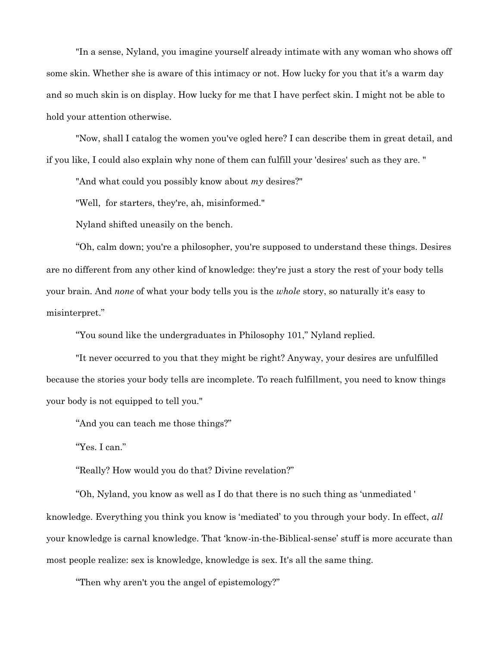"In a sense, Nyland, you imagine yourself already intimate with any woman who shows off some skin. Whether she is aware of this intimacy or not. How lucky for you that it's a warm day and so much skin is on display. How lucky for me that I have perfect skin. I might not be able to hold your attention otherwise.

"Now, shall I catalog the women you've ogled here? I can describe them in great detail, and if you like, I could also explain why none of them can fulfill your 'desires' such as they are. "

"And what could you possibly know about *my* desires?"

"Well, for starters, they're, ah, misinformed."

Nyland shifted uneasily on the bench.

"Oh, calm down; you're a philosopher, you're supposed to understand these things. Desires are no different from any other kind of knowledge: they're just a story the rest of your body tells your brain. And *none* of what your body tells you is the *whole* story, so naturally it's easy to misinterpret."

"You sound like the undergraduates in Philosophy 101," Nyland replied.

"It never occurred to you that they might be right? Anyway, your desires are unfulfilled because the stories your body tells are incomplete. To reach fulfillment, you need to know things your body is not equipped to tell you."

"And you can teach me those things?"

"Yes. I can."

"Really? How would you do that? Divine revelation?"

"Oh, Nyland, you know as well as I do that there is no such thing as 'unmediated ' knowledge. Everything you think you know is 'mediated' to you through your body. In effect, *all* your knowledge is carnal knowledge. That 'know-in-the-Biblical-sense' stuff is more accurate than most people realize: sex is knowledge, knowledge is sex. It's all the same thing.

"Then why aren't you the angel of epistemology?"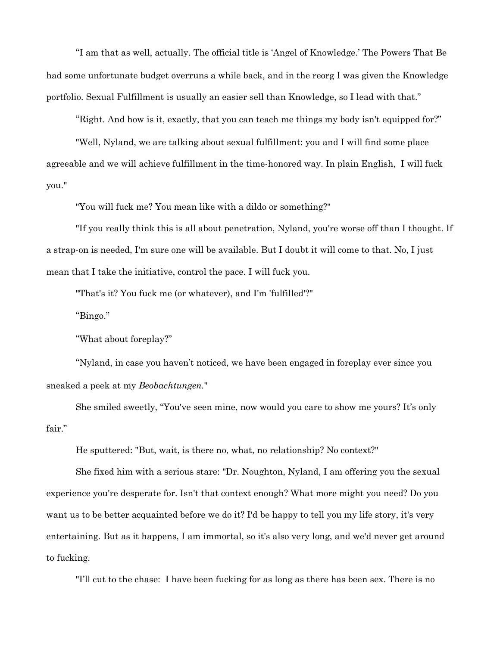"I am that as well, actually. The official title is 'Angel of Knowledge.' The Powers That Be had some unfortunate budget overruns a while back, and in the reorg I was given the Knowledge portfolio. Sexual Fulfillment is usually an easier sell than Knowledge, so I lead with that."

"Right. And how is it, exactly, that you can teach me things my body isn't equipped for?"

"Well, Nyland, we are talking about sexual fulfillment: you and I will find some place agreeable and we will achieve fulfillment in the time-honored way. In plain English, I will fuck you."

"You will fuck me? You mean like with a dildo or something?"

"If you really think this is all about penetration, Nyland, you're worse off than I thought. If a strap-on is needed, I'm sure one will be available. But I doubt it will come to that. No, I just mean that I take the initiative, control the pace. I will fuck you.

"That's it? You fuck me (or whatever), and I'm 'fulfilled'?"

"Bingo."

"What about foreplay?"

"Nyland, in case you haven't noticed, we have been engaged in foreplay ever since you sneaked a peek at my *Beobachtungen.*"

She smiled sweetly, "You've seen mine, now would you care to show me yours? It's only fair."

He sputtered: "But, wait, is there no, what, no relationship? No context?"

She fixed him with a serious stare: "Dr. Noughton, Nyland, I am offering you the sexual experience you're desperate for. Isn't that context enough? What more might you need? Do you want us to be better acquainted before we do it? I'd be happy to tell you my life story, it's very entertaining. But as it happens, I am immortal, so it's also very long, and we'd never get around to fucking.

"I'll cut to the chase: I have been fucking for as long as there has been sex. There is no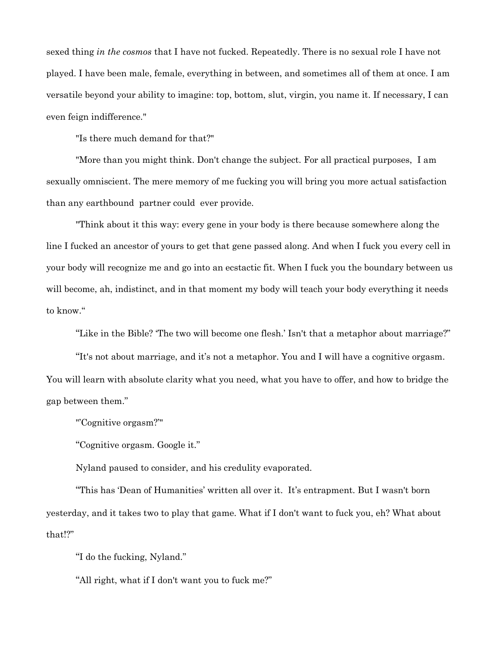sexed thing *in the cosmos* that I have not fucked. Repeatedly. There is no sexual role I have not played. I have been male, female, everything in between, and sometimes all of them at once. I am versatile beyond your ability to imagine: top, bottom, slut, virgin, you name it. If necessary, I can even feign indifference."

"Is there much demand for that?"

"More than you might think. Don't change the subject. For all practical purposes, I am sexually omniscient. The mere memory of me fucking you will bring you more actual satisfaction than any earthbound partner could ever provide.

"Think about it this way: every gene in your body is there because somewhere along the line I fucked an ancestor of yours to get that gene passed along. And when I fuck you every cell in your body will recognize me and go into an ecstactic fit. When I fuck you the boundary between us will become, ah, indistinct, and in that moment my body will teach your body everything it needs to know."

"Like in the Bible? 'The two will become one flesh.' Isn't that a metaphor about marriage?"

"It's not about marriage, and it's not a metaphor. You and I will have a cognitive orgasm. You will learn with absolute clarity what you need, what you have to offer, and how to bridge the gap between them."

"'Cognitive orgasm?'"

"Cognitive orgasm. Google it."

Nyland paused to consider, and his credulity evaporated.

"This has 'Dean of Humanities' written all over it. It's entrapment. But I wasn't born yesterday, and it takes two to play that game. What if I don't want to fuck you, eh? What about that!?"

"I do the fucking, Nyland."

"All right, what if I don't want you to fuck me?"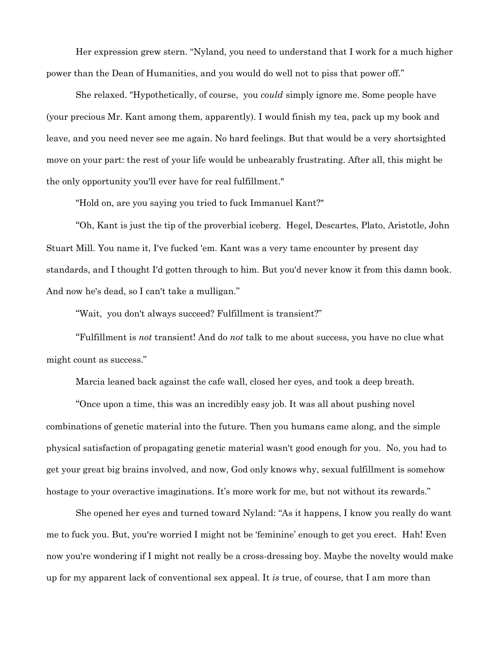Her expression grew stern. "Nyland, you need to understand that I work for a much higher power than the Dean of Humanities, and you would do well not to piss that power off."

She relaxed. "Hypothetically, of course, you *could* simply ignore me. Some people have (your precious Mr. Kant among them, apparently). I would finish my tea, pack up my book and leave, and you need never see me again. No hard feelings. But that would be a very shortsighted move on your part: the rest of your life would be unbearably frustrating. After all, this might be the only opportunity you'll ever have for real fulfillment."

"Hold on, are you saying you tried to fuck Immanuel Kant?"

"Oh, Kant is just the tip of the proverbial iceberg. Hegel, Descartes, Plato, Aristotle, John Stuart Mill. You name it, I've fucked 'em. Kant was a very tame encounter by present day standards, and I thought I'd gotten through to him. But you'd never know it from this damn book. And now he's dead, so I can't take a mulligan."

"Wait, you don't always succeed? Fulfillment is transient?"

"Fulfillment is *not* transient! And do *not* talk to me about success, you have no clue what might count as success."

Marcia leaned back against the cafe wall, closed her eyes, and took a deep breath.

"Once upon a time, this was an incredibly easy job. It was all about pushing novel combinations of genetic material into the future. Then you humans came along, and the simple physical satisfaction of propagating genetic material wasn't good enough for you. No, you had to get your great big brains involved, and now, God only knows why, sexual fulfillment is somehow hostage to your overactive imaginations. It's more work for me, but not without its rewards."

She opened her eyes and turned toward Nyland: "As it happens, I know you really do want me to fuck you. But, you're worried I might not be 'feminine' enough to get you erect. Hah! Even now you're wondering if I might not really be a cross-dressing boy. Maybe the novelty would make up for my apparent lack of conventional sex appeal. It *is* true, of course, that I am more than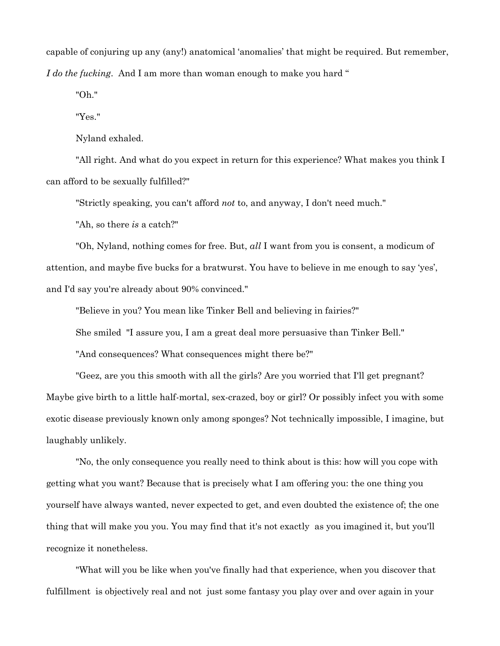capable of conjuring up any (any!) anatomical 'anomalies' that might be required. But remember, *I do the fucking*. And I am more than woman enough to make you hard "

"Oh."

"Yes."

Nyland exhaled.

"All right. And what do you expect in return for this experience? What makes you think I can afford to be sexually fulfilled?"

"Strictly speaking, you can't afford *not* to, and anyway, I don't need much."

"Ah, so there *is* a catch?"

"Oh, Nyland, nothing comes for free. But, *all* I want from you is consent, a modicum of attention, and maybe five bucks for a bratwurst. You have to believe in me enough to say 'yes', and I'd say you're already about 90% convinced."

"Believe in you? You mean like Tinker Bell and believing in fairies?"

She smiled "I assure you, I am a great deal more persuasive than Tinker Bell."

"And consequences? What consequences might there be?"

"Geez, are you this smooth with all the girls? Are you worried that I'll get pregnant? Maybe give birth to a little half-mortal, sex-crazed, boy or girl? Or possibly infect you with some exotic disease previously known only among sponges? Not technically impossible, I imagine, but laughably unlikely.

"No, the only consequence you really need to think about is this: how will you cope with getting what you want? Because that is precisely what I am offering you: the one thing you yourself have always wanted, never expected to get, and even doubted the existence of; the one thing that will make you you. You may find that it's not exactly as you imagined it, but you'll recognize it nonetheless.

"What will you be like when you've finally had that experience, when you discover that fulfillment is objectively real and not just some fantasy you play over and over again in your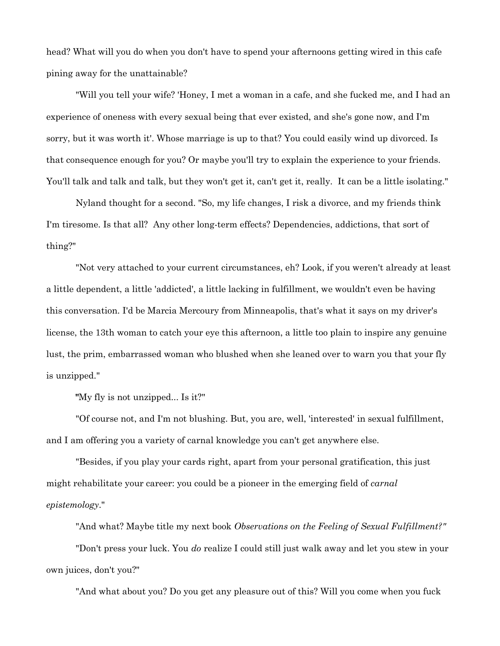head? What will you do when you don't have to spend your afternoons getting wired in this cafe pining away for the unattainable?

"Will you tell your wife? 'Honey, I met a woman in a cafe, and she fucked me, and I had an experience of oneness with every sexual being that ever existed, and she's gone now, and I'm sorry, but it was worth it'. Whose marriage is up to that? You could easily wind up divorced. Is that consequence enough for you? Or maybe you'll try to explain the experience to your friends. You'll talk and talk and talk, but they won't get it, can't get it, really. It can be a little isolating."

Nyland thought for a second. "So, my life changes, I risk a divorce, and my friends think I'm tiresome. Is that all? Any other long-term effects? Dependencies, addictions, that sort of thing?"

"Not very attached to your current circumstances, eh? Look, if you weren't already at least a little dependent, a little 'addicted', a little lacking in fulfillment, we wouldn't even be having this conversation. I'd be Marcia Mercoury from Minneapolis, that's what it says on my driver's license, the 13th woman to catch your eye this afternoon, a little too plain to inspire any genuine lust, the prim, embarrassed woman who blushed when she leaned over to warn you that your fly is unzipped."

**"**My fly is not unzipped... Is it?"

"Of course not, and I'm not blushing. But, you are, well, 'interested' in sexual fulfillment, and I am offering you a variety of carnal knowledge you can't get anywhere else.

"Besides, if you play your cards right, apart from your personal gratification, this just might rehabilitate your career: you could be a pioneer in the emerging field of *carnal epistemology*."

"And what? Maybe title my next book *Observations on the Feeling of Sexual Fulfillment?"*

"Don't press your luck. You *do* realize I could still just walk away and let you stew in your own juices, don't you?"

"And what about you? Do you get any pleasure out of this? Will you come when you fuck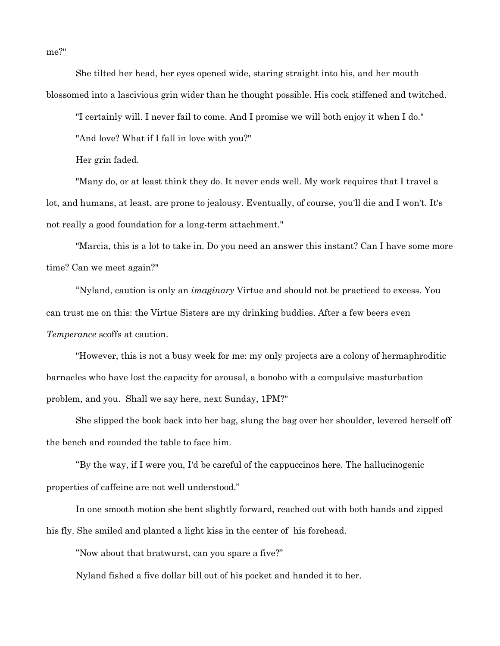She tilted her head, her eyes opened wide, staring straight into his, and her mouth blossomed into a lascivious grin wider than he thought possible. His cock stiffened and twitched.

"I certainly will. I never fail to come. And I promise we will both enjoy it when I do."

"And love? What if I fall in love with you?"

Her grin faded.

"Many do, or at least think they do. It never ends well. My work requires that I travel a lot, and humans, at least, are prone to jealousy. Eventually, of course, you'll die and I won't. It's not really a good foundation for a long-term attachment."

"Marcia, this is a lot to take in. Do you need an answer this instant? Can I have some more time? Can we meet again?"

"Nyland, caution is only an *imaginary* Virtue and should not be practiced to excess. You can trust me on this: the Virtue Sisters are my drinking buddies. After a few beers even *Temperance* scoffs at caution.

"However, this is not a busy week for me: my only projects are a colony of hermaphroditic barnacles who have lost the capacity for arousal, a bonobo with a compulsive masturbation problem, and you. Shall we say here, next Sunday, 1PM?"

She slipped the book back into her bag, slung the bag over her shoulder, levered herself off the bench and rounded the table to face him.

"By the way, if I were you, I'd be careful of the cappuccinos here. The hallucinogenic properties of caffeine are not well understood."

In one smooth motion she bent slightly forward, reached out with both hands and zipped his fly. She smiled and planted a light kiss in the center of his forehead.

"Now about that bratwurst, can you spare a five?"

Nyland fished a five dollar bill out of his pocket and handed it to her.

me?"